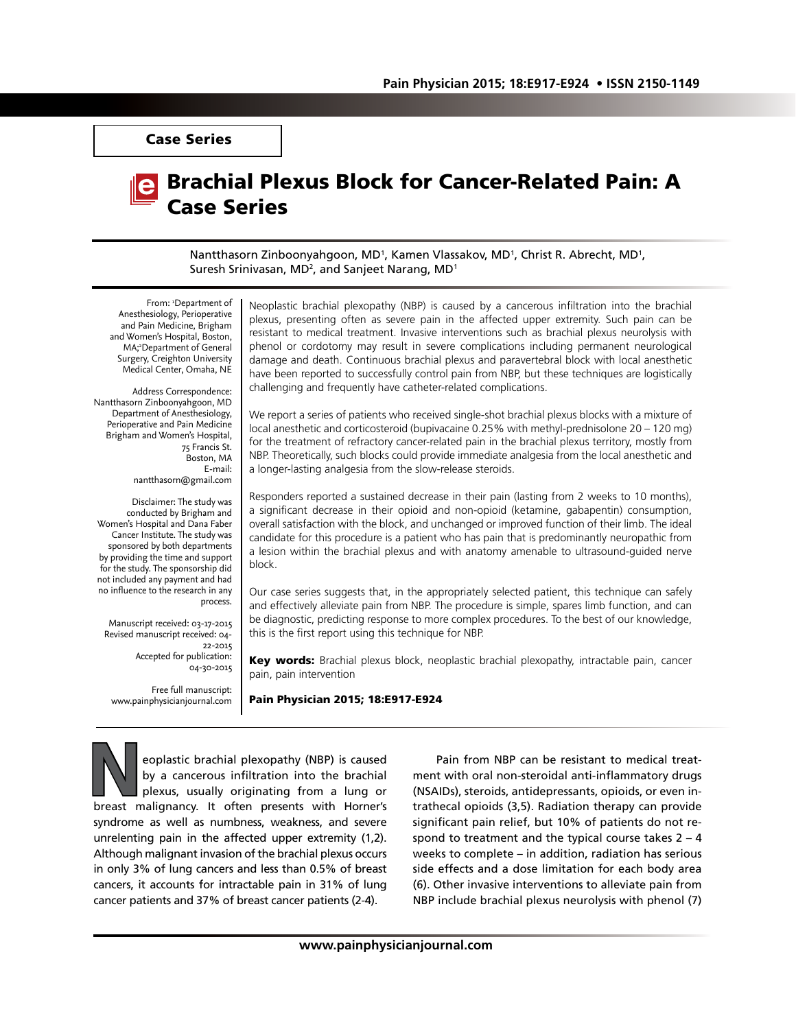Case Series

# Brachial Plexus Block for Cancer-Related Pain: A Case Series

Nantthasorn Zinboonyahgoon, MD<sup>1</sup>, Kamen Vlassakov, MD<sup>1</sup>, Christ R. Abrecht, MD<sup>1</sup>, Suresh Srinivasan, MD<sup>2</sup>, and Sanjeet Narang, MD<sup>1</sup>

From: 'Department of Anesthesiology, Perioperative and Pain Medicine, Brigham and Women's Hospital, Boston, MA;<sup>2</sup>Department of General Surgery, Creighton University Medical Center, Omaha, NE

Address Correspondence: Nantthasorn Zinboonyahgoon, MD Department of Anesthesiology, Perioperative and Pain Medicine Brigham and Women's Hospital, 75 Francis St. Boston, MA E-mail: nantthasorn@gmail.com

Disclaimer: The study was conducted by Brigham and Women's Hospital and Dana Faber Cancer Institute. The study was sponsored by both departments by providing the time and support for the study. The sponsorship did not included any payment and had no influence to the research in any process.

Manuscript received: 03-17-2015 Revised manuscript received: 04- 22-2015 Accepted for publication: 04-30-2015

Free full manuscript: www.painphysicianjournal.com Neoplastic brachial plexopathy (NBP) is caused by a cancerous infiltration into the brachial plexus, presenting often as severe pain in the affected upper extremity. Such pain can be resistant to medical treatment. Invasive interventions such as brachial plexus neurolysis with phenol or cordotomy may result in severe complications including permanent neurological damage and death. Continuous brachial plexus and paravertebral block with local anesthetic have been reported to successfully control pain from NBP, but these techniques are logistically challenging and frequently have catheter-related complications.

We report a series of patients who received single-shot brachial plexus blocks with a mixture of local anesthetic and corticosteroid (bupivacaine 0.25% with methyl-prednisolone 20 – 120 mg) for the treatment of refractory cancer-related pain in the brachial plexus territory, mostly from NBP. Theoretically, such blocks could provide immediate analgesia from the local anesthetic and a longer-lasting analgesia from the slow-release steroids.

Responders reported a sustained decrease in their pain (lasting from 2 weeks to 10 months), a significant decrease in their opioid and non-opioid (ketamine, gabapentin) consumption, overall satisfaction with the block, and unchanged or improved function of their limb. The ideal candidate for this procedure is a patient who has pain that is predominantly neuropathic from a lesion within the brachial plexus and with anatomy amenable to ultrasound-guided nerve block.

Our case series suggests that, in the appropriately selected patient, this technique can safely and effectively alleviate pain from NBP. The procedure is simple, spares limb function, and can be diagnostic, predicting response to more complex procedures. To the best of our knowledge, this is the first report using this technique for NBP.

Key words: Brachial plexus block, neoplastic brachial plexopathy, intractable pain, cancer pain, pain intervention

Pain Physician 2015; 18:E917-E924

**Neoplastic brachial plexopathy (NBP) is caused by a cancerous infiltration into the brachial plexus, usually originating from a lung or breast malignancy. It often presents with Horner's** by a cancerous infiltration into the brachial plexus, usually originating from a lung or syndrome as well as numbness, weakness, and severe unrelenting pain in the affected upper extremity (1,2). Although malignant invasion of the brachial plexus occurs in only 3% of lung cancers and less than 0.5% of breast cancers, it accounts for intractable pain in 31% of lung cancer patients and 37% of breast cancer patients (2-4).

Pain from NBP can be resistant to medical treatment with oral non-steroidal anti-inflammatory drugs (NSAIDs), steroids, antidepressants, opioids, or even intrathecal opioids (3,5). Radiation therapy can provide significant pain relief, but 10% of patients do not respond to treatment and the typical course takes  $2 - 4$ weeks to complete – in addition, radiation has serious side effects and a dose limitation for each body area (6). Other invasive interventions to alleviate pain from NBP include brachial plexus neurolysis with phenol (7)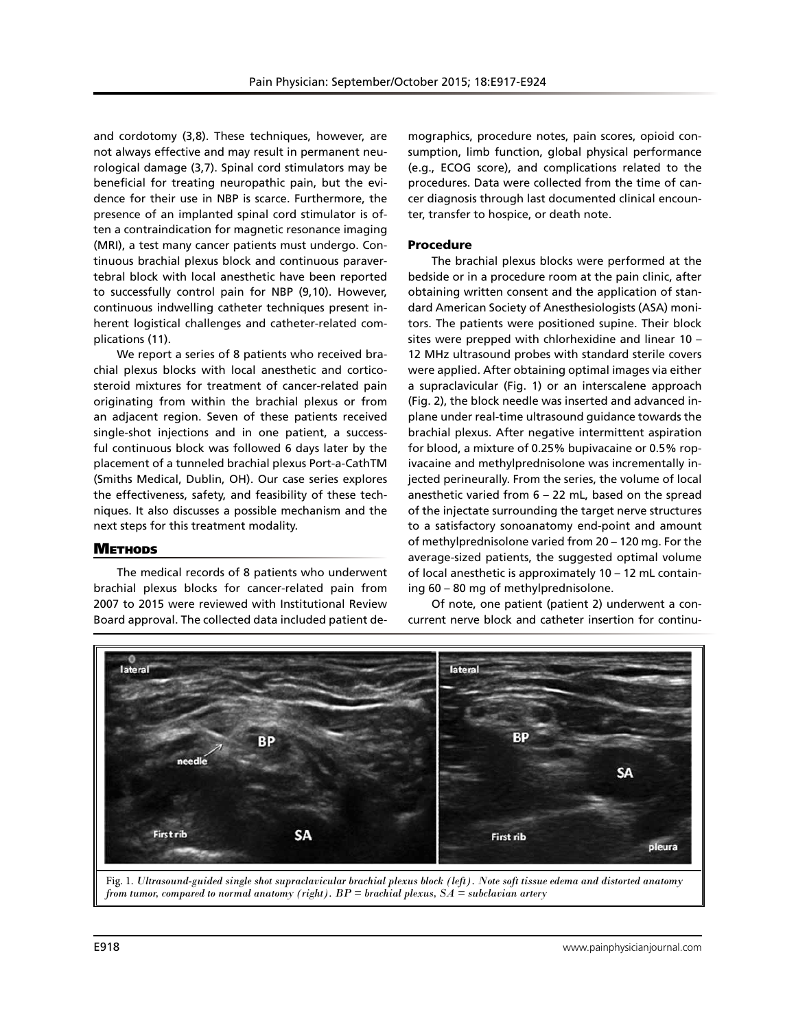and cordotomy (3,8). These techniques, however, are not always effective and may result in permanent neurological damage (3,7). Spinal cord stimulators may be beneficial for treating neuropathic pain, but the evidence for their use in NBP is scarce. Furthermore, the presence of an implanted spinal cord stimulator is often a contraindication for magnetic resonance imaging (MRI), a test many cancer patients must undergo. Continuous brachial plexus block and continuous paravertebral block with local anesthetic have been reported to successfully control pain for NBP (9,10). However, continuous indwelling catheter techniques present inherent logistical challenges and catheter-related complications (11).

We report a series of 8 patients who received brachial plexus blocks with local anesthetic and corticosteroid mixtures for treatment of cancer-related pain originating from within the brachial plexus or from an adjacent region. Seven of these patients received single-shot injections and in one patient, a successful continuous block was followed 6 days later by the placement of a tunneled brachial plexus Port-a-CathTM (Smiths Medical, Dublin, OH). Our case series explores the effectiveness, safety, and feasibility of these techniques. It also discusses a possible mechanism and the next steps for this treatment modality.

#### **METHODS**

The medical records of 8 patients who underwent brachial plexus blocks for cancer-related pain from 2007 to 2015 were reviewed with Institutional Review Board approval. The collected data included patient de-

mographics, procedure notes, pain scores, opioid consumption, limb function, global physical performance (e.g., ECOG score), and complications related to the procedures. Data were collected from the time of cancer diagnosis through last documented clinical encounter, transfer to hospice, or death note.

#### Procedure

The brachial plexus blocks were performed at the bedside or in a procedure room at the pain clinic, after obtaining written consent and the application of standard American Society of Anesthesiologists (ASA) monitors. The patients were positioned supine. Their block sites were prepped with chlorhexidine and linear 10 – 12 MHz ultrasound probes with standard sterile covers were applied. After obtaining optimal images via either a supraclavicular (Fig. 1) or an interscalene approach (Fig. 2), the block needle was inserted and advanced inplane under real-time ultrasound guidance towards the brachial plexus. After negative intermittent aspiration for blood, a mixture of 0.25% bupivacaine or 0.5% ropivacaine and methylprednisolone was incrementally injected perineurally. From the series, the volume of local anesthetic varied from 6 – 22 mL, based on the spread of the injectate surrounding the target nerve structures to a satisfactory sonoanatomy end-point and amount of methylprednisolone varied from 20 – 120 mg. For the average-sized patients, the suggested optimal volume of local anesthetic is approximately 10 – 12 mL containing 60 – 80 mg of methylprednisolone.

Of note, one patient (patient 2) underwent a concurrent nerve block and catheter insertion for continu-



Fig. 1. *Ultrasound-guided single shot supraclavicular brachial plexus block (left). Note soft tissue edema and distorted anatomy from tumor, compared to normal anatomy (right). BP = brachial plexus, SA = subclavian artery*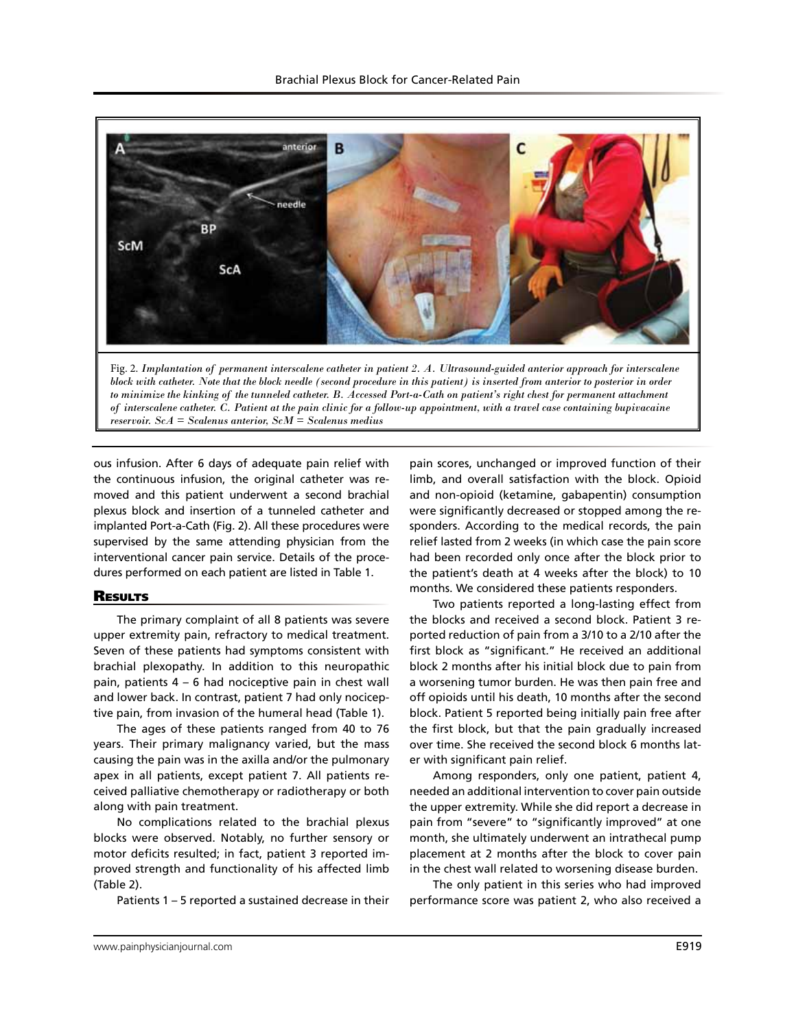

*to minimize the kinking of the tunneled catheter. B. Accessed Port-a-Cath on patient's right chest for permanent attachment of interscalene catheter. C. Patient at the pain clinic for a follow-up appointment, with a travel case containing bupivacaine reservoir. ScA = Scalenus anterior, ScM = Scalenus medius*

ous infusion. After 6 days of adequate pain relief with the continuous infusion, the original catheter was removed and this patient underwent a second brachial plexus block and insertion of a tunneled catheter and implanted Port-a-Cath (Fig. 2). All these procedures were supervised by the same attending physician from the interventional cancer pain service. Details of the procedures performed on each patient are listed in Table 1.

#### **RESULTS**

The primary complaint of all 8 patients was severe upper extremity pain, refractory to medical treatment. Seven of these patients had symptoms consistent with brachial plexopathy. In addition to this neuropathic pain, patients 4 – 6 had nociceptive pain in chest wall and lower back. In contrast, patient 7 had only nociceptive pain, from invasion of the humeral head (Table 1).

The ages of these patients ranged from 40 to 76 years. Their primary malignancy varied, but the mass causing the pain was in the axilla and/or the pulmonary apex in all patients, except patient 7. All patients received palliative chemotherapy or radiotherapy or both along with pain treatment.

No complications related to the brachial plexus blocks were observed. Notably, no further sensory or motor deficits resulted; in fact, patient 3 reported improved strength and functionality of his affected limb (Table 2).

Patients 1 – 5 reported a sustained decrease in their

pain scores, unchanged or improved function of their limb, and overall satisfaction with the block. Opioid and non-opioid (ketamine, gabapentin) consumption were significantly decreased or stopped among the responders. According to the medical records, the pain relief lasted from 2 weeks (in which case the pain score had been recorded only once after the block prior to the patient's death at 4 weeks after the block) to 10 months. We considered these patients responders.

Two patients reported a long-lasting effect from the blocks and received a second block. Patient 3 reported reduction of pain from a 3/10 to a 2/10 after the first block as "significant." He received an additional block 2 months after his initial block due to pain from a worsening tumor burden. He was then pain free and off opioids until his death, 10 months after the second block. Patient 5 reported being initially pain free after the first block, but that the pain gradually increased over time. She received the second block 6 months later with significant pain relief.

Among responders, only one patient, patient 4, needed an additional intervention to cover pain outside the upper extremity. While she did report a decrease in pain from "severe" to "significantly improved" at one month, she ultimately underwent an intrathecal pump placement at 2 months after the block to cover pain in the chest wall related to worsening disease burden.

The only patient in this series who had improved performance score was patient 2, who also received a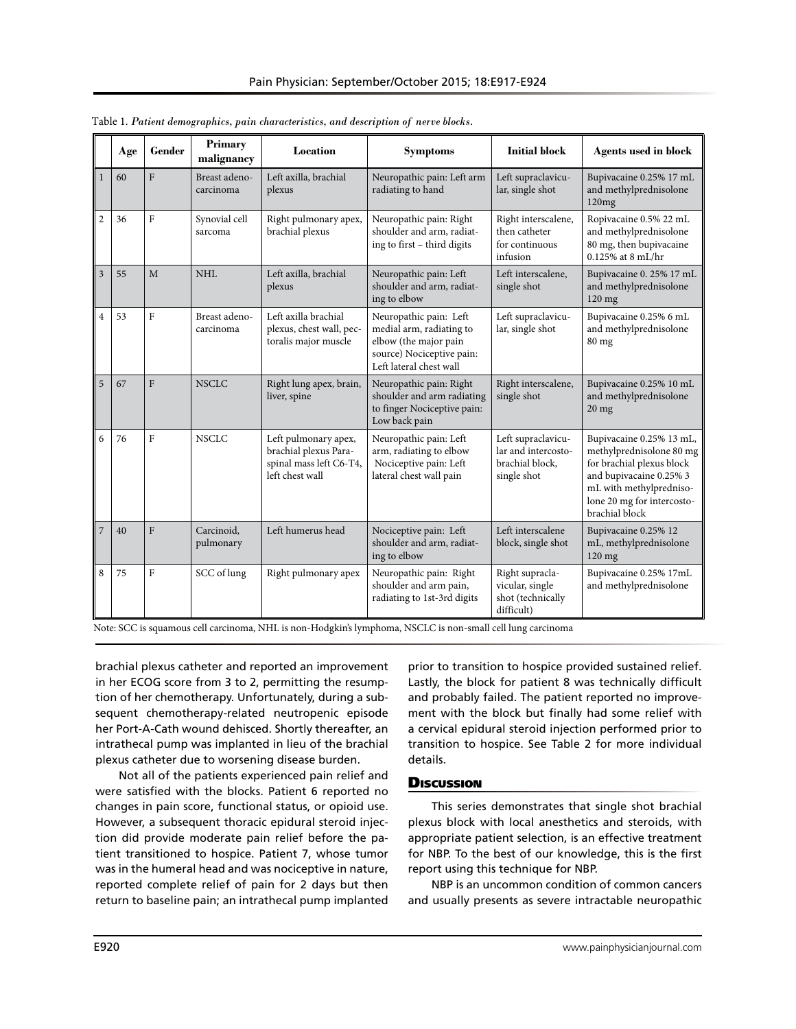|                | Age | Gender         | Primary<br>malignancy      | Location                                                                                    | <b>Symptoms</b>                                                                                                                     | <b>Initial block</b>                                                        | <b>Agents used in block</b>                                                                                                                                                             |
|----------------|-----|----------------|----------------------------|---------------------------------------------------------------------------------------------|-------------------------------------------------------------------------------------------------------------------------------------|-----------------------------------------------------------------------------|-----------------------------------------------------------------------------------------------------------------------------------------------------------------------------------------|
| $\mathbf{1}$   | 60  | F              | Breast adeno-<br>carcinoma | Left axilla, brachial<br>plexus                                                             | Neuropathic pain: Left arm<br>radiating to hand                                                                                     | Left supraclavicu-<br>lar, single shot                                      | Bupivacaine 0.25% 17 mL<br>and methylprednisolone<br>120mg                                                                                                                              |
| $\overline{2}$ | 36  | $\mathbf{F}$   | Synovial cell<br>sarcoma   | Right pulmonary apex,<br>brachial plexus                                                    | Neuropathic pain: Right<br>shoulder and arm, radiat-<br>ing to first - third digits                                                 | Right interscalene,<br>then catheter<br>for continuous<br>infusion          | Ropivacaine 0.5% 22 mL<br>and methylprednisolone<br>80 mg, then bupivacaine<br>$0.125\%$ at $8 \text{ mL/hr}$                                                                           |
| $\overline{3}$ | 55  | M              | NHI.                       | Left axilla, brachial<br>plexus                                                             | Neuropathic pain: Left<br>shoulder and arm, radiat-<br>ing to elbow                                                                 | Left interscalene,<br>single shot                                           | Bupivacaine 0. 25% 17 mL<br>and methylprednisolone<br>120 mg                                                                                                                            |
| $\overline{4}$ | 53  | $\mathbf{F}$   | Breast adeno-<br>carcinoma | Left axilla brachial<br>plexus, chest wall, pec-<br>toralis major muscle                    | Neuropathic pain: Left<br>medial arm, radiating to<br>elbow (the major pain<br>source) Nociceptive pain:<br>Left lateral chest wall | Left supraclavicu-<br>lar, single shot                                      | Bupivacaine 0.25% 6 mL<br>and methylprednisolone<br>80 mg                                                                                                                               |
| 5              | 67  | $\mathbf{F}$   | <b>NSCLC</b>               | Right lung apex, brain,<br>liver, spine                                                     | Neuropathic pain: Right<br>shoulder and arm radiating<br>to finger Nociceptive pain:<br>Low back pain                               | Right interscalene,<br>single shot                                          | Bupivacaine 0.25% 10 mL<br>and methylprednisolone<br>$20$ mg                                                                                                                            |
| 6              | 76  | $\mathbf{F}$   | <b>NSCLC</b>               | Left pulmonary apex,<br>brachial plexus Para-<br>spinal mass left C6-T4,<br>left chest wall | Neuropathic pain: Left<br>arm, radiating to elbow<br>Nociceptive pain: Left<br>lateral chest wall pain                              | Left supraclavicu-<br>lar and intercosto-<br>brachial block,<br>single shot | Bupivacaine 0.25% 13 mL,<br>methylprednisolone 80 mg<br>for brachial plexus block<br>and bupivacaine 0.25% 3<br>mL with methylpredniso-<br>lone 20 mg for intercosto-<br>brachial block |
| $\overline{7}$ | 40  | F              | Carcinoid.<br>pulmonary    | Left humerus head                                                                           | Nociceptive pain: Left<br>shoulder and arm, radiat-<br>ing to elbow                                                                 | Left interscalene<br>block, single shot                                     | Bupivacaine 0.25% 12<br>mL, methylprednisolone<br>120 mg                                                                                                                                |
| 8              | 75  | $\overline{F}$ | SCC of lung                | Right pulmonary apex                                                                        | Neuropathic pain: Right<br>shoulder and arm pain,<br>radiating to 1st-3rd digits                                                    | Right supracla-<br>vicular, single<br>shot (technically<br>difficult)       | Bupivacaine 0.25% 17mL<br>and methylprednisolone                                                                                                                                        |

Table 1. *Patient demographics, pain characteristics, and description of nerve blocks.*

Note: SCC is squamous cell carcinoma, NHL is non-Hodgkin's lymphoma, NSCLC is non-small cell lung carcinoma

brachial plexus catheter and reported an improvement in her ECOG score from 3 to 2, permitting the resumption of her chemotherapy. Unfortunately, during a subsequent chemotherapy-related neutropenic episode her Port-A-Cath wound dehisced. Shortly thereafter, an intrathecal pump was implanted in lieu of the brachial plexus catheter due to worsening disease burden.

Not all of the patients experienced pain relief and were satisfied with the blocks. Patient 6 reported no changes in pain score, functional status, or opioid use. However, a subsequent thoracic epidural steroid injection did provide moderate pain relief before the patient transitioned to hospice. Patient 7, whose tumor was in the humeral head and was nociceptive in nature, reported complete relief of pain for 2 days but then return to baseline pain; an intrathecal pump implanted prior to transition to hospice provided sustained relief. Lastly, the block for patient 8 was technically difficult and probably failed. The patient reported no improvement with the block but finally had some relief with a cervical epidural steroid injection performed prior to transition to hospice. See Table 2 for more individual details.

## **Discussion**

This series demonstrates that single shot brachial plexus block with local anesthetics and steroids, with appropriate patient selection, is an effective treatment for NBP. To the best of our knowledge, this is the first report using this technique for NBP.

NBP is an uncommon condition of common cancers and usually presents as severe intractable neuropathic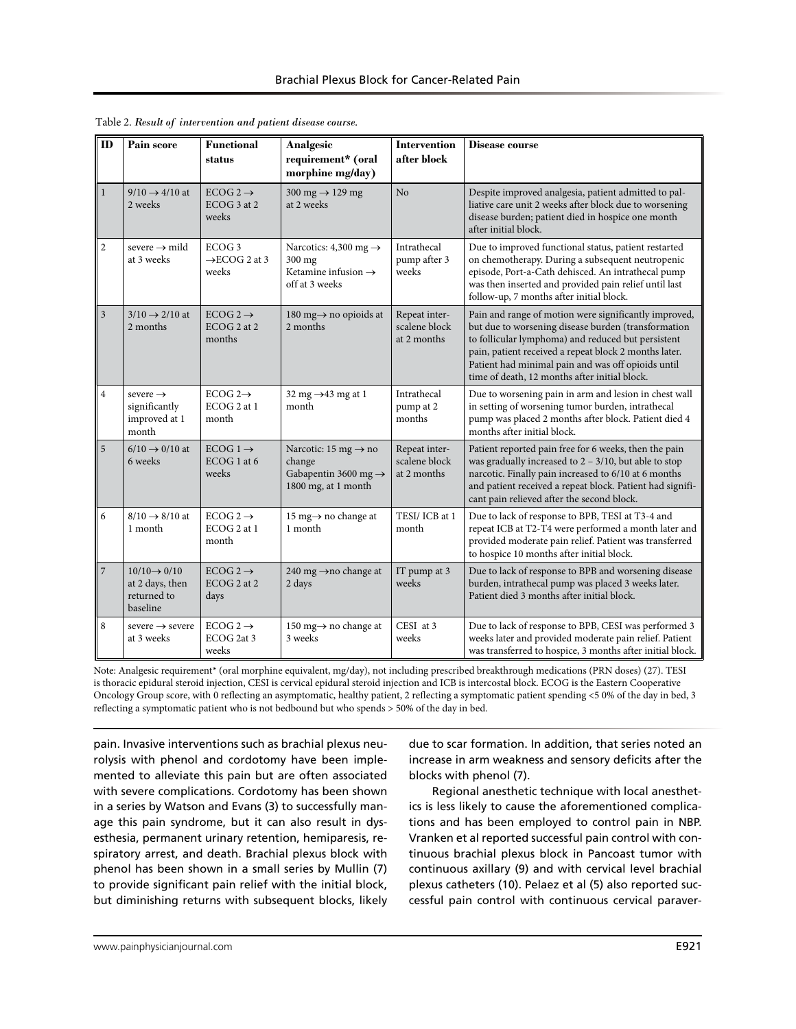| ID             | Pain score                                                             | <b>Functional</b><br>status                             | Analgesic<br>requirement* (oral<br>morphine mg/day)                                                   | <b>Intervention</b><br>after block            | Disease course                                                                                                                                                                                                                                                                                                                     |
|----------------|------------------------------------------------------------------------|---------------------------------------------------------|-------------------------------------------------------------------------------------------------------|-----------------------------------------------|------------------------------------------------------------------------------------------------------------------------------------------------------------------------------------------------------------------------------------------------------------------------------------------------------------------------------------|
| $\bf{l}$       | $9/10 \rightarrow 4/10$ at<br>2 weeks                                  | ECOG 2 $\rightarrow$<br>ECOG 3 at 2<br>weeks            | 300 mg $\rightarrow$ 129 mg<br>at 2 weeks                                                             | No                                            | Despite improved analgesia, patient admitted to pal-<br>liative care unit 2 weeks after block due to worsening<br>disease burden; patient died in hospice one month<br>after initial block.                                                                                                                                        |
| $\mathbf{2}$   | severe $\rightarrow$ mild<br>at 3 weeks                                | ECOG <sub>3</sub><br>$\rightarrow$ ECOG 2 at 3<br>weeks | Narcotics: 4,300 mg $\rightarrow$<br>300 mg<br>Ketamine infusion $\rightarrow$<br>off at 3 weeks      | Intrathecal<br>pump after 3<br>weeks          | Due to improved functional status, patient restarted<br>on chemotherapy. During a subsequent neutropenic<br>episode, Port-a-Cath dehisced. An intrathecal pump<br>was then inserted and provided pain relief until last<br>follow-up, 7 months after initial block.                                                                |
| 3              | $3/10 \rightarrow 2/10$ at<br>2 months                                 | ECOG 2 $\rightarrow$<br>ECOG 2 at 2<br>months           | 180 mg $\rightarrow$ no opioids at<br>2 months                                                        | Repeat inter-<br>scalene block<br>at 2 months | Pain and range of motion were significantly improved,<br>but due to worsening disease burden (transformation<br>to follicular lymphoma) and reduced but persistent<br>pain, patient received a repeat block 2 months later.<br>Patient had minimal pain and was off opioids until<br>time of death, 12 months after initial block. |
| $\,4\,$        | severe $\rightarrow$<br>significantly<br>improved at 1<br>month        | ECOG $2 \rightarrow$<br>ECOG 2 at 1<br>month            | 32 mg $\rightarrow$ 43 mg at 1<br>month                                                               | Intrathecal<br>pump at 2<br>months            | Due to worsening pain in arm and lesion in chest wall<br>in setting of worsening tumor burden, intrathecal<br>pump was placed 2 months after block. Patient died 4<br>months after initial block.                                                                                                                                  |
| 5              | $6/10 \rightarrow 0/10$ at<br>6 weeks                                  | ECOG $1 \rightarrow$<br>ECOG 1 at 6<br>weeks            | Narcotic: 15 mg $\rightarrow$ no<br>change<br>Gabapentin 3600 mg $\rightarrow$<br>1800 mg, at 1 month | Repeat inter-<br>scalene block<br>at 2 months | Patient reported pain free for 6 weeks, then the pain<br>was gradually increased to $2 - 3/10$ , but able to stop<br>narcotic. Finally pain increased to 6/10 at 6 months<br>and patient received a repeat block. Patient had signifi-<br>cant pain relieved after the second block.                                               |
| 6              | $8/10 \rightarrow 8/10$ at<br>1 month                                  | ECOG 2 $\rightarrow$<br>ECOG 2 at 1<br>month            | 15 mg $\rightarrow$ no change at<br>1 month                                                           | TESI/ICB at 1<br>month                        | Due to lack of response to BPB, TESI at T3-4 and<br>repeat ICB at T2-T4 were performed a month later and<br>provided moderate pain relief. Patient was transferred<br>to hospice 10 months after initial block.                                                                                                                    |
| $\overline{7}$ | $10/10 \rightarrow 0/10$<br>at 2 days, then<br>returned to<br>baseline | ECOG 2 $\rightarrow$<br>ECOG 2 at 2<br>days             | 240 mg →no change at<br>2 days                                                                        | IT pump at 3<br>weeks                         | Due to lack of response to BPB and worsening disease<br>burden, intrathecal pump was placed 3 weeks later.<br>Patient died 3 months after initial block.                                                                                                                                                                           |
| 8              | severe $\rightarrow$ severe<br>at 3 weeks                              | ECOG 2 $\rightarrow$<br>ECOG 2at 3<br>weeks             | 150 mg $\rightarrow$ no change at<br>3 weeks                                                          | CESI at 3<br>weeks                            | Due to lack of response to BPB, CESI was performed 3<br>weeks later and provided moderate pain relief. Patient<br>was transferred to hospice, 3 months after initial block.                                                                                                                                                        |

Table 2. *Result of intervention and patient disease course.*

Note: Analgesic requirement\* (oral morphine equivalent, mg/day), not including prescribed breakthrough medications (PRN doses) (27). TESI is thoracic epidural steroid injection, CESI is cervical epidural steroid injection and ICB is intercostal block. ECOG is the Eastern Cooperative Oncology Group score, with 0 reflecting an asymptomatic, healthy patient, 2 reflecting a symptomatic patient spending <5 0% of the day in bed, 3 reflecting a symptomatic patient who is not bedbound but who spends > 50% of the day in bed.

pain. Invasive interventions such as brachial plexus neurolysis with phenol and cordotomy have been implemented to alleviate this pain but are often associated with severe complications. Cordotomy has been shown in a series by Watson and Evans (3) to successfully manage this pain syndrome, but it can also result in dysesthesia, permanent urinary retention, hemiparesis, respiratory arrest, and death. Brachial plexus block with phenol has been shown in a small series by Mullin (7) to provide significant pain relief with the initial block, but diminishing returns with subsequent blocks, likely due to scar formation. In addition, that series noted an increase in arm weakness and sensory deficits after the blocks with phenol (7).

Regional anesthetic technique with local anesthetics is less likely to cause the aforementioned complications and has been employed to control pain in NBP. Vranken et al reported successful pain control with continuous brachial plexus block in Pancoast tumor with continuous axillary (9) and with cervical level brachial plexus catheters (10). Pelaez et al (5) also reported successful pain control with continuous cervical paraver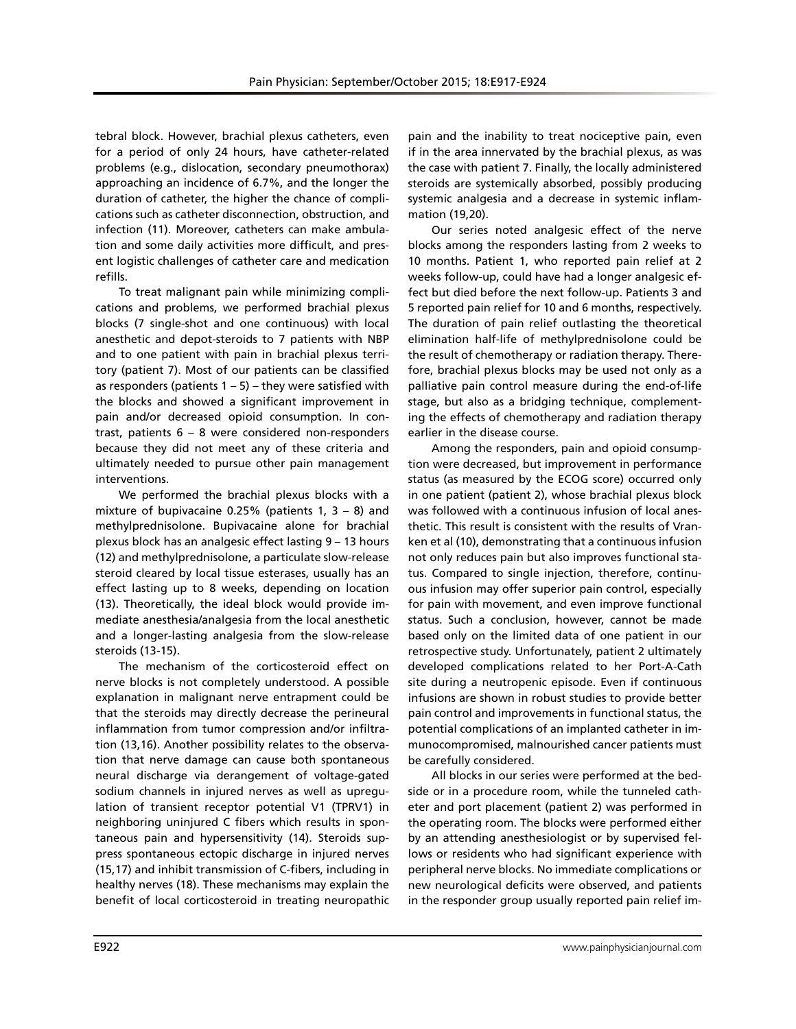tebral block. However, brachial plexus catheters, even for a period of only 24 hours, have catheter-related problems (e.g., dislocation, secondary pneumothorax) approaching an incidence of 6.7%, and the longer the duration of catheter, the higher the chance of complications such as catheter disconnection, obstruction, and infection (11). Moreover, catheters can make ambulation and some daily activities more difficult, and present logistic challenges of catheter care and medication refills.

To treat malignant pain while minimizing complications and problems, we performed brachial plexus blocks (7 single-shot and one continuous) with local anesthetic and depot-steroids to 7 patients with NBP and to one patient with pain in brachial plexus territory (patient 7). Most of our patients can be classified as responders (patients  $1 - 5$ ) – they were satisfied with the blocks and showed a significant improvement in pain and/or decreased opioid consumption. In contrast, patients 6 – 8 were considered non-responders because they did not meet any of these criteria and ultimately needed to pursue other pain management interventions.

We performed the brachial plexus blocks with a mixture of bupivacaine 0.25% (patients 1,  $3 - 8$ ) and methylprednisolone. Bupivacaine alone for brachial plexus block has an analgesic effect lasting 9 – 13 hours (12) and methylprednisolone, a particulate slow-release steroid cleared by local tissue esterases, usually has an effect lasting up to 8 weeks, depending on location (13). Theoretically, the ideal block would provide immediate anesthesia/analgesia from the local anesthetic and a longer-lasting analgesia from the slow-release steroids (13-15).

The mechanism of the corticosteroid effect on nerve blocks is not completely understood. A possible explanation in malignant nerve entrapment could be that the steroids may directly decrease the perineural inflammation from tumor compression and/or infiltration (13,16). Another possibility relates to the observation that nerve damage can cause both spontaneous neural discharge via derangement of voltage-gated sodium channels in injured nerves as well as upregulation of transient receptor potential V1 (TPRV1) in neighboring uninjured C fibers which results in spontaneous pain and hypersensitivity (14). Steroids suppress spontaneous ectopic discharge in injured nerves (15,17) and inhibit transmission of C-fibers, including in healthy nerves (18). These mechanisms may explain the benefit of local corticosteroid in treating neuropathic

pain and the inability to treat nociceptive pain, even if in the area innervated by the brachial plexus, as was the case with patient 7. Finally, the locally administered steroids are systemically absorbed, possibly producing systemic analgesia and a decrease in systemic inflammation (19,20).

Our series noted analgesic effect of the nerve blocks among the responders lasting from 2 weeks to 10 months. Patient 1, who reported pain relief at 2 weeks follow-up, could have had a longer analgesic effect but died before the next follow-up. Patients 3 and 5 reported pain relief for 10 and 6 months, respectively. The duration of pain relief outlasting the theoretical elimination half-life of methylprednisolone could be the result of chemotherapy or radiation therapy. Therefore, brachial plexus blocks may be used not only as a palliative pain control measure during the end-of-life stage, but also as a bridging technique, complementing the effects of chemotherapy and radiation therapy earlier in the disease course.

Among the responders, pain and opioid consumption were decreased, but improvement in performance status (as measured by the ECOG score) occurred only in one patient (patient 2), whose brachial plexus block was followed with a continuous infusion of local anesthetic. This result is consistent with the results of Vranken et al (10), demonstrating that a continuous infusion not only reduces pain but also improves functional status. Compared to single injection, therefore, continuous infusion may offer superior pain control, especially for pain with movement, and even improve functional status. Such a conclusion, however, cannot be made based only on the limited data of one patient in our retrospective study. Unfortunately, patient 2 ultimately developed complications related to her Port-A-Cath site during a neutropenic episode. Even if continuous infusions are shown in robust studies to provide better pain control and improvements in functional status, the potential complications of an implanted catheter in immunocompromised, malnourished cancer patients must be carefully considered.

All blocks in our series were performed at the bedside or in a procedure room, while the tunneled catheter and port placement (patient 2) was performed in the operating room. The blocks were performed either by an attending anesthesiologist or by supervised fellows or residents who had significant experience with peripheral nerve blocks. No immediate complications or new neurological deficits were observed, and patients in the responder group usually reported pain relief im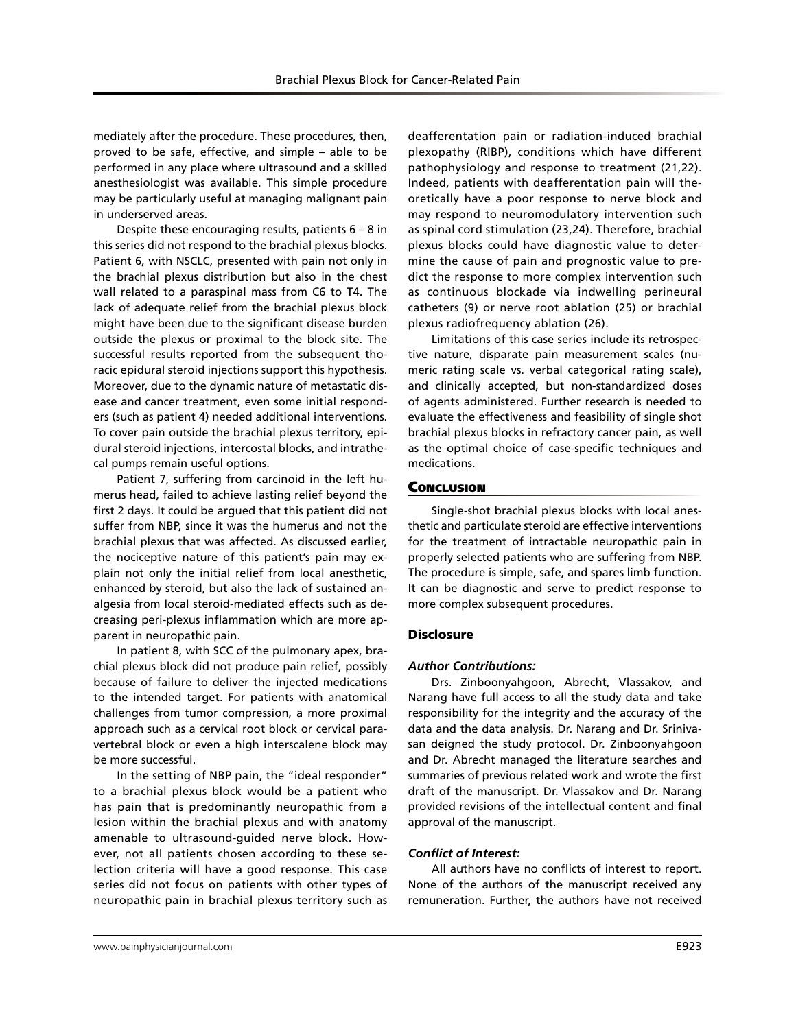mediately after the procedure. These procedures, then, proved to be safe, effective, and simple – able to be performed in any place where ultrasound and a skilled anesthesiologist was available. This simple procedure may be particularly useful at managing malignant pain in underserved areas.

Despite these encouraging results, patients  $6 - 8$  in this series did not respond to the brachial plexus blocks. Patient 6, with NSCLC, presented with pain not only in the brachial plexus distribution but also in the chest wall related to a paraspinal mass from C6 to T4. The lack of adequate relief from the brachial plexus block might have been due to the significant disease burden outside the plexus or proximal to the block site. The successful results reported from the subsequent thoracic epidural steroid injections support this hypothesis. Moreover, due to the dynamic nature of metastatic disease and cancer treatment, even some initial responders (such as patient 4) needed additional interventions. To cover pain outside the brachial plexus territory, epidural steroid injections, intercostal blocks, and intrathecal pumps remain useful options.

Patient 7, suffering from carcinoid in the left humerus head, failed to achieve lasting relief beyond the first 2 days. It could be argued that this patient did not suffer from NBP, since it was the humerus and not the brachial plexus that was affected. As discussed earlier, the nociceptive nature of this patient's pain may explain not only the initial relief from local anesthetic, enhanced by steroid, but also the lack of sustained analgesia from local steroid-mediated effects such as decreasing peri-plexus inflammation which are more apparent in neuropathic pain.

In patient 8, with SCC of the pulmonary apex, brachial plexus block did not produce pain relief, possibly because of failure to deliver the injected medications to the intended target. For patients with anatomical challenges from tumor compression, a more proximal approach such as a cervical root block or cervical paravertebral block or even a high interscalene block may be more successful.

In the setting of NBP pain, the "ideal responder" to a brachial plexus block would be a patient who has pain that is predominantly neuropathic from a lesion within the brachial plexus and with anatomy amenable to ultrasound-guided nerve block. However, not all patients chosen according to these selection criteria will have a good response. This case series did not focus on patients with other types of neuropathic pain in brachial plexus territory such as

deafferentation pain or radiation-induced brachial plexopathy (RIBP), conditions which have different pathophysiology and response to treatment (21,22). Indeed, patients with deafferentation pain will theoretically have a poor response to nerve block and may respond to neuromodulatory intervention such as spinal cord stimulation (23,24). Therefore, brachial plexus blocks could have diagnostic value to determine the cause of pain and prognostic value to predict the response to more complex intervention such as continuous blockade via indwelling perineural catheters (9) or nerve root ablation (25) or brachial plexus radiofrequency ablation (26).

Limitations of this case series include its retrospective nature, disparate pain measurement scales (numeric rating scale vs. verbal categorical rating scale), and clinically accepted, but non-standardized doses of agents administered. Further research is needed to evaluate the effectiveness and feasibility of single shot brachial plexus blocks in refractory cancer pain, as well as the optimal choice of case-specific techniques and medications.

# **Conclusion**

Single-shot brachial plexus blocks with local anesthetic and particulate steroid are effective interventions for the treatment of intractable neuropathic pain in properly selected patients who are suffering from NBP. The procedure is simple, safe, and spares limb function. It can be diagnostic and serve to predict response to more complex subsequent procedures.

## **Disclosure**

## *Author Contributions:*

Drs. Zinboonyahgoon, Abrecht, Vlassakov, and Narang have full access to all the study data and take responsibility for the integrity and the accuracy of the data and the data analysis. Dr. Narang and Dr. Srinivasan deigned the study protocol. Dr. Zinboonyahgoon and Dr. Abrecht managed the literature searches and summaries of previous related work and wrote the first draft of the manuscript. Dr. Vlassakov and Dr. Narang provided revisions of the intellectual content and final approval of the manuscript.

## *Conflict of Interest:*

All authors have no conflicts of interest to report. None of the authors of the manuscript received any remuneration. Further, the authors have not received